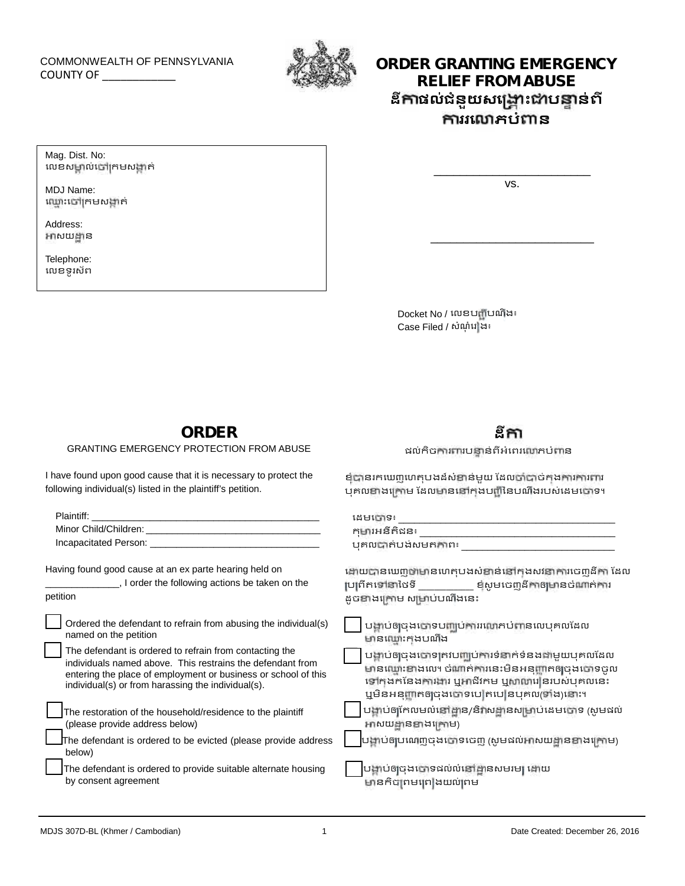# COMMONWEALTH OF PENNSYLVANIA



## COMMONWEALTH OF PENNSYLVANIA **COUNTY OF A SERVICE SERVICE ORDER GRANTING EMERGENCY RELIEF FROM ABUSE ដី ផល់ជំនួយសេ ះ ប ន់ពី ររេ ភបំ ន**

Mag. Dist. No: លេខសម្គាល់ចៅក្រមសង្កាត់

MDJ Name: ឈ្មោះចៅក្រមសង្កាត់

Address: អាសយដ្ឋាន

Telephone: េលខទូរស័ព vs.

\_\_\_\_\_\_\_\_\_\_\_\_\_\_\_\_\_\_\_\_\_\_\_\_\_

\_\_\_\_\_\_\_\_\_\_\_\_\_\_\_\_\_\_\_\_\_\_\_\_

**ដី**

ផល់កិចការពារបន្ទាន់ពីអំពេរលោភបំពាន

ខំបានរកឃេញហេតុបងដ៏សំខាន់មួយ ដែលចាំបាច់កងការការពារ បុគលខាងក្រោម ដែលមាននៅកុងបញ្ជីនៃបណឹងរបស់ដេមចោទ។

Docket No / េលខប ីបណឹង៖ Docket No / លេខបញ្ជីបណីង៖<br>Case Filed / សំណុំវេ ង៖

### **ORDER**

GRANTING EMERGENCY PROTECTION FROM ABUSE

I have found upon good cause that it is necessary to protect the following individual(s) listed in the plaintiff's petition.

| <b>Plaintiff:</b> Plaintiff:                                             | ដេមកោទ៖                                                 |  |
|--------------------------------------------------------------------------|---------------------------------------------------------|--|
|                                                                          | កុមារអនីតិដន៖ នៅក្នុងការស្រាប់ ការស្រាប់ ការស្រាប់ កា   |  |
|                                                                          | បុគលបាត់បង់សមតកាព៖                                      |  |
| Having found good cause at an ex parte hearing held on                   | ងោយបានឃេញថាមានហេតុបងសំខាន់នៅកុងសវនាការចេញដីកា ដែល       |  |
| _, I order the following actions be taken on the                         | ប្រព្រឹតទៅនាថៃទី _______ ខ្មសូមចេញដីកាឲ្យមានចំណាត់ការ   |  |
| petition                                                                 | ដូចខាងក្រោម សម្រាប់បណឹងនេះ                              |  |
| Ordered the defendant to refrain from abusing the individual(s)          | បង្គាប់ឲ្យចុងចោទបញ្ឈប់ការរលោភបំពានលេបុគលដែល             |  |
| named on the petition                                                    | មានឈ្មោះកុងបណីង                                         |  |
| The defendant is ordered to refrain from contacting the                  | បង្គាប់ឲ្យចុងចោទត្រវបញ្ឈប់ការទំនាក់ទំនងជាមួយបុគលដែល     |  |
| individuals named above. This restrains the defendant from               | មានឈ្មោះខាងលេ។ ចំណាត់ការនេះមិនអនុញ្ញាតឲ្យចុងចោទចូល      |  |
| entering the place of employment or business or school of this           | ទៅក្នុងកនៃងការងារ ឬអាជីវកម ឬសាលារៀនរបស់បុគលនេះ          |  |
| individual(s) or from harassing the individual(s).                       | ឬមិនអនុញ្ញាតឲ្យចុងចោទបេ តបេ នបុគល(ទាំង)នោះ។             |  |
| The restoration of the household/residence to the plaintiff              | បង្គាប់ឲ្យកែលមល់នៅដ្ឋាន/និវាសដ្ឋានសម្រាប់ដេមបោទ (សូមដល់ |  |
| (please provide address below)                                           | អាសយដ្ឋានខាងក្រោម)                                      |  |
| The defendant is ordered to be evicted (please provide address<br>below) | បង្គាប់ឲ្យបណ្តេញចុងចោទចេញ (សូមផល់អាសយដ្ឋានខាងក្រោម)     |  |
| The defendant is ordered to provide suitable alternate housing           | បង្គាប់ឲ្យចុងចោទដល់លំនៅដ្ឋានសមរម្យ ដោយ                  |  |
| by consent agreement                                                     | មានកិច្ចព្រមព្រៀងយល់ព្រម                                |  |